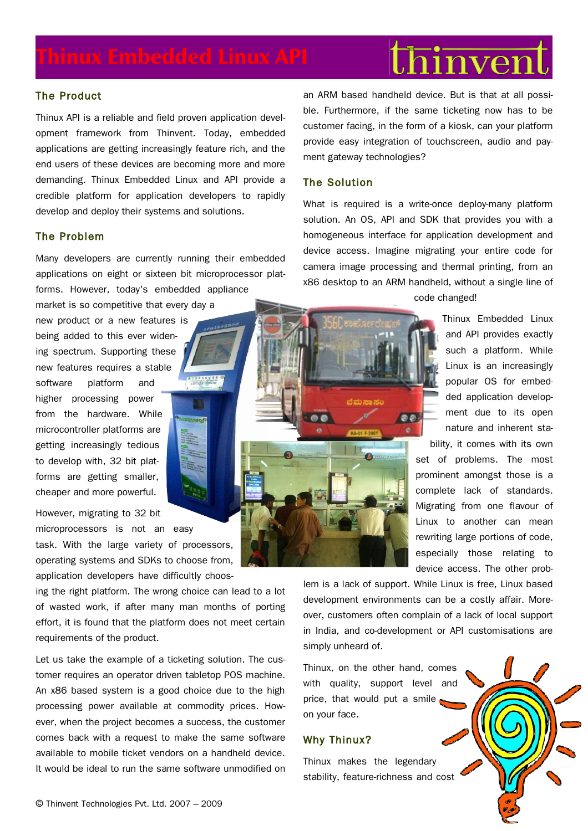# hinven

# The Product

Thinux API is a reliable and field proven application development framework from Thinvent. Today, embedded applications are getting increasingly feature rich, and the end users of these devices are becoming more and more demanding. Thinux Embedded Linux and API provide a credible platform for application developers to rapidly develop and deploy their systems and solutions.

# The Problem

Many developers are currently running their embedded applications on eight or sixteen bit microprocessor platforms. However, today's embedded appliance

new product or a new features is being added to this ever widening spectrum. Supporting these new features requires a stable software platform and higher processing power from the hardware. While microcontroller platforms are getting increasingly tedious to develop with, 32 bit platforms are getting smaller, cheaper and more powerful.

market is so competitive that every day a

However, migrating to 32 bit microprocessors is not an easy task. With the large variety of processors, operating systems and SDKs to choose from, application developers have difficultly choos-

ing the right platform. The wrong choice can lead to a lot of wasted work, if after many man months of porting effort, it is found that the platform does not meet certain requirements of the product.

Let us take the example of a ticketing solution. The customer requires an operator driven tabletop POS machine. An x86 based system is a good choice due to the high processing power available at commodity prices. However, when the project becomes a success, the customer comes back with a request to make the same software available to mobile ticket vendors on a handheld device. It would be ideal to run the same software unmodified on

an ARM based handheld device. But is that at all possible. Furthermore, if the same ticketing now has to be customer facing, in the form of a kiosk, can your platform provide easy integration of touchscreen, audio and payment gateway technologies?

# The Solution

ಜೆ ಮಾಡಿದ ಸಮ

What is required is a write-once deploy-many platform solution. An OS, API and SDK that provides you with a homogeneous interface for application development and device access. Imagine migrating your entire code for camera image processing and thermal printing, from an x86 desktop to an ARM handheld, without a single line of

code changed!

Thinux Embedded Linux and API provides exactly such a platform. While Linux is an increasingly popular OS for embedded application development due to its open nature and inherent stability, it comes with its own

set of problems. The most prominent amongst those is a complete lack of standards. Migrating from one flavour of Linux to another can mean rewriting large portions of code, especially those relating to device access. The other prob-

lem is a lack of support. While Linux is free, Linux based development environments can be a costly affair. Moreover, customers often complain of a lack of local support in India, and co-development or API customisations are simply unheard of.

Thinux, on the other hand, comes with quality, support level and price, that would put a smile on your face.

# Why Thinux?

Thinux makes the legendary stability, feature-richness and cost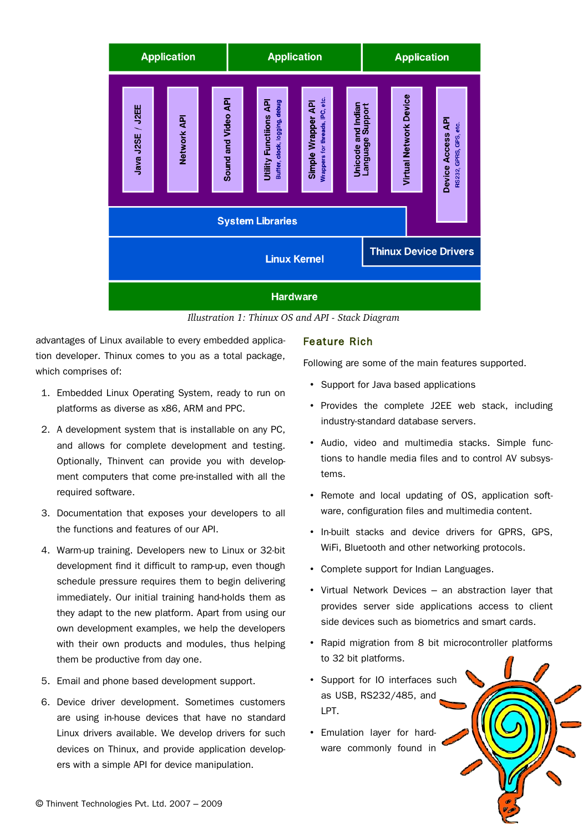

*Illustration 1: Thinux OS and API Stack Diagram*

advantages of Linux available to every embedded application developer. Thinux comes to you as a total package, which comprises of:

- 1. Embedded Linux Operating System, ready to run on platforms as diverse as x86, ARM and PPC.
- 2. A development system that is installable on any PC, and allows for complete development and testing. Optionally, Thinvent can provide you with development computers that come pre-installed with all the required software.
- 3. Documentation that exposes your developers to all the functions and features of our API.
- 4. Warm-up training. Developers new to Linux or 32-bit development find it difficult to ramp-up, even though schedule pressure requires them to begin delivering immediately. Our initial training hand-holds them as they adapt to the new platform. Apart from using our own development examples, we help the developers with their own products and modules, thus helping them be productive from day one.
- 5. Email and phone based development support.
- 6. Device driver development. Sometimes customers are using in-house devices that have no standard Linux drivers available. We develop drivers for such devices on Thinux, and provide application developers with a simple API for device manipulation.

# Feature Rich

Following are some of the main features supported.

- Support for Java based applications
- Provides the complete J2EE web stack, including industry-standard database servers.
- Audio, video and multimedia stacks. Simple functions to handle media files and to control AV subsystems.
- Remote and local updating of OS, application software, configuration files and multimedia content.
- In-built stacks and device drivers for GPRS, GPS, WiFi, Bluetooth and other networking protocols.
- Complete support for Indian Languages.
- Virtual Network Devices an abstraction layer that provides server side applications access to client side devices such as biometrics and smart cards.
- Rapid migration from 8 bit microcontroller platforms to 32 bit platforms.
- Support for IO interfaces such as USB, RS232/485, and LPT.
- Emulation layer for hardware commonly found in